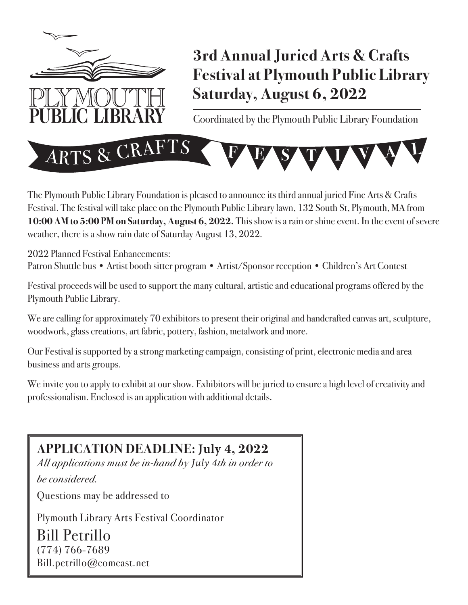

# **3rd Annual Juried Arts & Crafts Festival at Plymouth Public Library Saturday, August 6, 2022**

Coordinated by the Plymouth Public Library Foundation



The Plymouth Public Library Foundation is pleased to announce its third annual juried Fine Arts & Crafts Festival. The festival will take place on the Plymouth Public Library lawn, 132 South St, Plymouth, MA from **10:00 AM to 5:00 PM on Saturday, August 6, 2022.** This show is a rain or shine event. In the event of severe weather, there is a show rain date of Saturday August 13, 2022.

2022 Planned Festival Enhancements: Patron Shuttle bus • Artist booth sitter program • Artist/Sponsor reception • Children's Art Contest

Festival proceeds will be used to support the many cultural, artistic and educational programs offered by the Plymouth Public Library.

We are calling for approximately 70 exhibitors to present their original and handcrafted canvas art, sculpture, woodwork, glass creations, art fabric, pottery, fashion, metalwork and more.

Our Festival is supported by a strong marketing campaign, consisting of print, electronic media and area business and arts groups.

We invite you to apply to exhibit at our show. Exhibitors will be juried to ensure a high level of creativity and professionalism. Enclosed is an application with additional details.

### **APPLICATION DEADLINE: July 4, 2022**

*All applications must be in-hand by July 4th in order to be considered.*

Questions may be addressed to

Plymouth Library Arts Festival Coordinator

Bill Petrillo (774) 766-7689 Bill.petrillo@comcast.net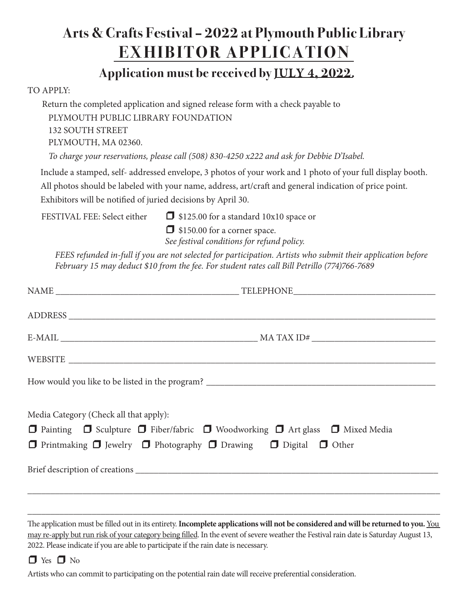## **Arts & Crafts Festival – 2022 at Plymouth Public Library EXHIBITOR APPLICATION**

### **Application must be received by JULY 4, 2022.**

#### TO APPLY:

Return the completed application and signed release form with a check payable to PLYMOUTH PUBLIC LIBRARY FOUNDATION 132 SOUTH STREET PLYMOUTH, MA 02360.

 *To charge your reservations, please call (508) 830-4250 x222 and ask for Debbie D'Isabel.*

Include a stamped, self- addressed envelope, 3 photos of your work and 1 photo of your full display booth. All photos should be labeled with your name, address, art/craft and general indication of price point. Exhibitors will be notified of juried decisions by April 30.

FESTIVAL FEE: Select either  $\Box$  \$125.00 for a standard 10x10 space or

 $\Box$  \$150.00 for a corner space.

*See festival conditions for refund policy.* 

*FEES refunded in-full if you are not selected for participation. Artists who submit their application before February 15 may deduct \$10 from the fee. For student rates call Bill Petrillo (774)766-7689*

| Media Category (Check all that apply):<br>□ Painting □ Sculpture □ Fiber/fabric □ Woodworking □ Art glass □ Mixed Media<br>□ Printmaking □ Jewelry □ Photography □ Drawing □ Digital □ Other |  |
|----------------------------------------------------------------------------------------------------------------------------------------------------------------------------------------------|--|
|                                                                                                                                                                                              |  |
|                                                                                                                                                                                              |  |

The application must be filled out in its entirety. **Incomplete applications will not be considered and will be returned to you.** You may re-apply but run risk of your category being filled. In the event of severe weather the Festival rain date is Saturday August 13, 2022. Please indicate if you are able to participate if the rain date is necessary.

\_\_\_\_\_\_\_\_\_\_\_\_\_\_\_\_\_\_\_\_\_\_\_\_\_\_\_\_\_\_\_\_\_\_\_\_\_\_\_\_\_\_\_\_\_\_\_\_\_\_\_\_\_\_\_\_\_\_\_\_\_\_\_\_\_\_\_\_\_\_\_\_\_\_\_\_\_\_\_\_\_\_\_\_\_\_\_\_\_\_



Artists who can commit to participating on the potential rain date will receive preferential consideration.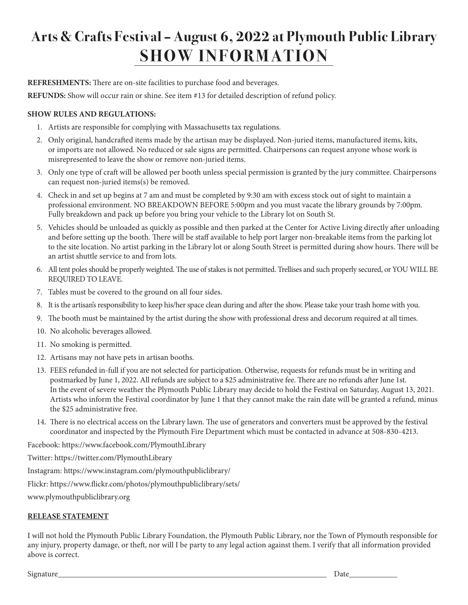# **Arts & Crafts Festival – August 6, 2022 at Plymouth Public Library SHOW INFORMATION**

**REFRESHMENTS:** There are on-site facilities to purchase food and beverages.

**REFUNDS:** Show will occur rain or shine. See item #13 for detailed description of refund policy.

#### **SHOW RULES AND REGULATIONS:**

- 1. Artists are responsible for complying with Massachusetts tax regulations.
- 2. Only original, handcrafted items made by the artisan may be displayed. Non-juried items, manufactured items, kits, or imports are not allowed. No reduced or sale signs are permitted. Chairpersons can request anyone whose work is misrepresented to leave the show or remove non-juried items.
- 3. Only one type of craft will be allowed per booth unless special permission is granted by the jury committee. Chairpersons can request non-juried items(s) be removed.
- 4. Check in and set up begins at 7 am and must be completed by 9:30 am with excess stock out of sight to maintain a professional environment. NO BREAKDOWN BEFORE 5:00pm and you must vacate the library grounds by 7:00pm. Fully breakdown and pack up before you bring your vehicle to the Library lot on South St.
- 5. Vehicles should be unloaded as quickly as possible and then parked at the Center for Active Living directly after unloading and before setting up the booth. There will be staff available to help port larger non-breakable items from the parking lot to the site location. No artist parking in the Library lot or along South Street is permitted during show hours. There will be an artist shuttle service to and from lots.
- 6. All tent poles should be properly weighted. The use of stakes is not permitted. Trellises and such properly secured, or YOU WILL BE REQUIRED TO LEAVE.
- 7. Tables must be covered to the ground on all four sides.
- 8. It is the artisan's responsibility to keep his/her space clean during and after the show. Please take your trash home with you.
- 9. The booth must be maintained by the artist during the show with professional dress and decorum required at all times.
- 10. No alcoholic beverages allowed.
- 11. No smoking is permitted.
- 12. Artisans may not have pets in artisan booths.
- 13. FEES refunded in-full if you are not selected for participation. Otherwise, requests for refunds must be in writing and postmarked by June 1, 2022. All refunds are subject to a \$25 administrative fee. There are no refunds after June 1st. In the event of severe weather the Plymouth Public Library may decide to hold the Festival on Saturday, August 13, 2021. Artists who inform the Festival coordinator by June 1 that they cannot make the rain date will be granted a refund, minus the \$25 administrative free.
- 14. There is no electrical access on the Library lawn. The use of generators and converters must be approved by the festival coordinator and inspected by the Plymouth Fire Department which must be contacted in advance at 508-830-4213.

Facebook: https://www.facebook.com/PlymouthLibrary

Twitter: https://twitter.com/PlymouthLibrary

Instagram: https://www.instagram.com/plymouthpubliclibrary/

Flickr: https://www.flickr.com/photos/plymouthpubliclibrary/sets/

www.plymouthpubliclibrary.org

#### **RELEASE STATEMENT**

I will not hold the Plymouth Public Library Foundation, the Plymouth Public Library, nor the Town of Plymouth responsible for any injury, property damage, or theft, nor will I be party to any legal action against them. I verify that all information provided above is correct.

Signature\_\_\_\_\_\_\_\_\_\_\_\_\_\_\_\_\_\_\_\_\_\_\_\_\_\_\_\_\_\_\_\_\_\_\_\_\_\_\_\_\_\_\_\_\_\_\_\_\_\_\_\_\_\_\_\_\_\_\_\_\_\_\_\_\_\_\_ Date\_\_\_\_\_\_\_\_\_\_\_\_